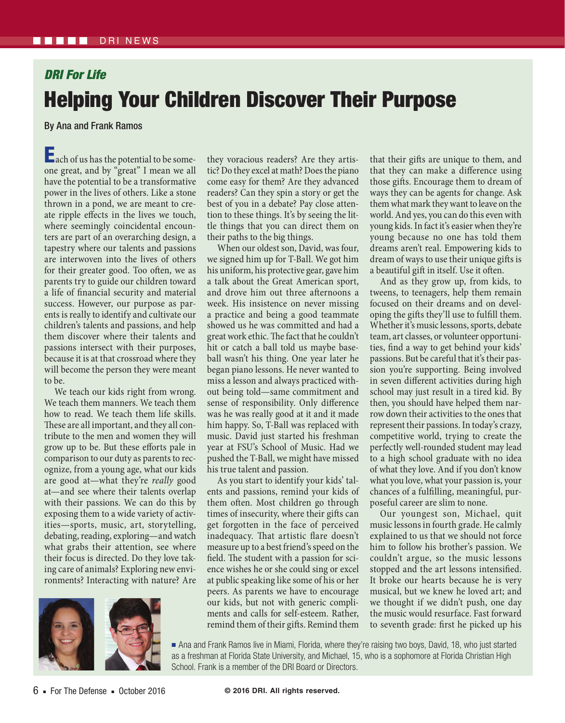## *DRI For Life* Helping Your Children Discover Their Purpose

By Ana and Frank Ramos

**Each of us has the potential to be some**one great, and by "great" I mean we all have the potential to be a transformative power in the lives of others. Like a stone thrown in a pond, we are meant to create ripple effects in the lives we touch, where seemingly coincidental encounters are part of an overarching design, a tapestry where our talents and passions are interwoven into the lives of others for their greater good. Too often, we as parents try to guide our children toward a life of financial security and material success. However, our purpose as parents is really to identify and cultivate our children's talents and passions, and help them discover where their talents and passions intersect with their purposes, because it is at that crossroad where they will become the person they were meant to be.

We teach our kids right from wrong. We teach them manners. We teach them how to read. We teach them life skills. These are all important, and they all contribute to the men and women they will grow up to be. But these efforts pale in comparison to our duty as parents to recognize, from a young age, what our kids are good at—what they're *really* good at—and see where their talents overlap with their passions. We can do this by exposing them to a wide variety of activities—sports, music, art, storytelling, debating, reading, exploring—and watch what grabs their attention, see where their focus is directed. Do they love taking care of animals? Exploring new environments? Interacting with nature? Are



they voracious readers? Are they artistic? Do they excel at math? Does the piano come easy for them? Are they advanced readers? Can they spin a story or get the best of you in a debate? Pay close attention to these things. It's by seeing the little things that you can direct them on their paths to the big things.

When our oldest son, David, was four, we signed him up for T-Ball. We got him his uniform, his protective gear, gave him a talk about the Great American sport, and drove him out three afternoons a week. His insistence on never missing a practice and being a good teammate showed us he was committed and had a great work ethic. The fact that he couldn't hit or catch a ball told us maybe baseball wasn't his thing. One year later he began piano lessons. He never wanted to miss a lesson and always practiced without being told—same commitment and sense of responsibility. Only difference was he was really good at it and it made him happy. So, T-Ball was replaced with music. David just started his freshman year at FSU's School of Music. Had we pushed the T-Ball, we might have missed his true talent and passion.

As you start to identify your kids' talents and passions, remind your kids of them often. Most children go through times of insecurity, where their gifts can get forgotten in the face of perceived inadequacy. That artistic flare doesn't measure up to a best friend's speed on the field. The student with a passion for science wishes he or she could sing or excel at public speaking like some of his or her peers. As parents we have to encourage our kids, but not with generic compliments and calls for self-esteem. Rather, remind them of their gifts. Remind them

that their gifts are unique to them, and that they can make a difference using those gifts. Encourage them to dream of ways they can be agents for change. Ask them what mark they want to leave on the world. And yes, you can do this even with young kids. In fact it's easier when they're young because no one has told them dreams aren't real. Empowering kids to dream of ways to use their unique gifts is a beautiful gift in itself. Use it often.

And as they grow up, from kids, to tweens, to teenagers, help them remain focused on their dreams and on developing the gifts they'll use to fulfill them. Whether it's music lessons, sports, debate team, art classes, or volunteer opportunities, find a way to get behind your kids' passions. But be careful that it's their passion you're supporting. Being involved in seven different activities during high school may just result in a tired kid. By then, you should have helped them narrow down their activities to the ones that represent their passions. In today's crazy, competitive world, trying to create the perfectly well-rounded student may lead to a high school graduate with no idea of what they love. And if you don't know what you love, what your passion is, your chances of a fulfilling, meaningful, purposeful career are slim to none.

Our youngest son, Michael, quit music lessons in fourth grade. He calmly explained to us that we should not force him to follow his brother's passion. We couldn't argue, so the music lessons stopped and the art lessons intensified. It broke our hearts because he is very musical, but we knew he loved art; and we thought if we didn't push, one day the music would resurface. Fast forward to seventh grade: first he picked up his

■ Ana and Frank Ramos live in Miami, Florida, where they're raising two boys, David, 18, who just started as a freshman at Florida State University, and Michael, 15, who is a sophomore at Florida Christian High School. Frank is a member of the DRI Board or Directors.